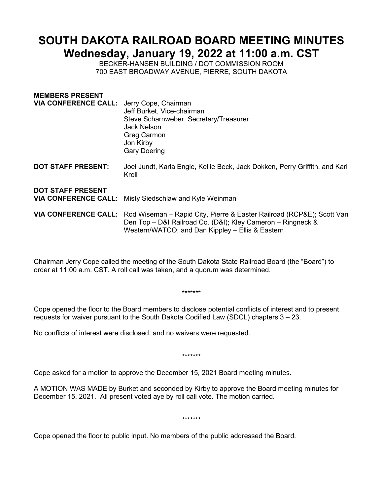## **SOUTH DAKOTA RAILROAD BOARD MEETING MINUTES Wednesday, January 19, 2022 at 11:00 a.m. CST**

BECKER-HANSEN BUILDING / DOT COMMISSION ROOM 700 EAST BROADWAY AVENUE, PIERRE, SOUTH DAKOTA

| Jerry Cope, Chairman<br>Jeff Burket, Vice-chairman<br>Steve Scharnweber, Secretary/Treasurer<br><b>Jack Nelson</b><br>Greg Carmon<br>Jon Kirby<br><b>Gary Doering</b>                                         |
|---------------------------------------------------------------------------------------------------------------------------------------------------------------------------------------------------------------|
| Joel Jundt, Karla Engle, Kellie Beck, Jack Dokken, Perry Griffith, and Kari<br>Kroll                                                                                                                          |
| <b>VIA CONFERENCE CALL:</b> Misty Siedschlaw and Kyle Weinman                                                                                                                                                 |
| VIA CONFERENCE CALL: Rod Wiseman - Rapid City, Pierre & Easter Railroad (RCP&E); Scott Van<br>Den Top - D&I Railroad Co. (D&I); Kley Cameron - Ringneck &<br>Western/WATCO; and Dan Kippley - Ellis & Eastern |
|                                                                                                                                                                                                               |

Chairman Jerry Cope called the meeting of the South Dakota State Railroad Board (the "Board") to order at 11:00 a.m. CST. A roll call was taken, and a quorum was determined.

\*\*\*\*\*\*\*

Cope opened the floor to the Board members to disclose potential conflicts of interest and to present requests for waiver pursuant to the South Dakota Codified Law (SDCL) chapters 3 – 23.

No conflicts of interest were disclosed, and no waivers were requested.

\*\*\*\*\*\*\*

Cope asked for a motion to approve the December 15, 2021 Board meeting minutes.

A MOTION WAS MADE by Burket and seconded by Kirby to approve the Board meeting minutes for December 15, 2021. All present voted aye by roll call vote. The motion carried.

\*\*\*\*\*\*\*

Cope opened the floor to public input. No members of the public addressed the Board.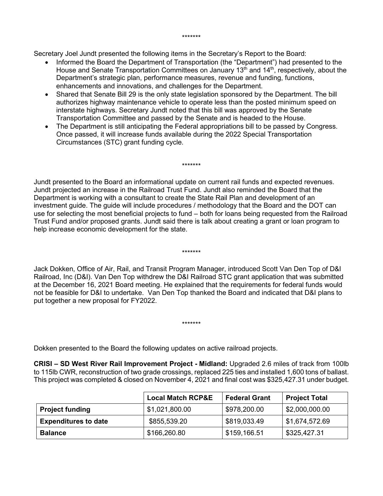Secretary Joel Jundt presented the following items in the Secretary's Report to the Board:

- Informed the Board the Department of Transportation (the "Department") had presented to the House and Senate Transportation Committees on January 13<sup>th</sup> and 14<sup>th</sup>, respectively, about the Department's strategic plan, performance measures, revenue and funding, functions, enhancements and innovations, and challenges for the Department.
- Shared that Senate Bill 29 is the only state legislation sponsored by the Department. The bill authorizes highway maintenance vehicle to operate less than the posted minimum speed on interstate highways. Secretary Jundt noted that this bill was approved by the Senate Transportation Committee and passed by the Senate and is headed to the House.
- The Department is still anticipating the Federal appropriations bill to be passed by Congress. Once passed, it will increase funds available during the 2022 Special Transportation Circumstances (STC) grant funding cycle.

\*\*\*\*\*\*\*

Jundt presented to the Board an informational update on current rail funds and expected revenues. Jundt projected an increase in the Railroad Trust Fund. Jundt also reminded the Board that the Department is working with a consultant to create the State Rail Plan and development of an investment guide. The guide will include procedures / methodology that the Board and the DOT can use for selecting the most beneficial projects to fund – both for loans being requested from the Railroad Trust Fund and/or proposed grants. Jundt said there is talk about creating a grant or loan program to help increase economic development for the state.

Jack Dokken, Office of Air, Rail, and Transit Program Manager, introduced Scott Van Den Top of D&I Railroad, Inc (D&I). Van Den Top withdrew the D&I Railroad STC grant application that was submitted at the December 16, 2021 Board meeting. He explained that the requirements for federal funds would not be feasible for D&I to undertake. Van Den Top thanked the Board and indicated that D&I plans to put together a new proposal for FY2022.

\*\*\*\*\*\*\*

\*\*\*\*\*\*\*

Dokken presented to the Board the following updates on active railroad projects.

**CRISI – SD West River Rail Improvement Project - Midland:** Upgraded 2.6 miles of track from 100lb to 115lb CWR, reconstruction of two grade crossings, replaced 225 ties and installed 1,600 tons of ballast. This project was completed & closed on November 4, 2021 and final cost was \$325,427.31 under budget.

|                             | <b>Local Match RCP&amp;E</b> | <b>Federal Grant</b> | <b>Project Total</b> |
|-----------------------------|------------------------------|----------------------|----------------------|
| <b>Project funding</b>      | \$1,021,800.00               | \$978,200.00         | \$2,000,000.00       |
| <b>Expenditures to date</b> | \$855,539.20                 | \$819,033.49         | \$1,674,572.69       |
| <b>Balance</b>              | \$166,260.80                 | \$159,166.51         | \$325,427.31         |

## \*\*\*\*\*\*\*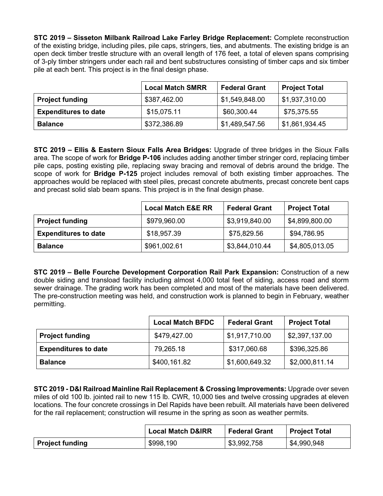**STC 2019 – Sisseton Milbank Railroad Lake Farley Bridge Replacement:** Complete reconstruction of the existing bridge, including piles, pile caps, stringers, ties, and abutments. The existing bridge is an open deck timber trestle structure with an overall length of 176 feet, a total of eleven spans comprising of 3-ply timber stringers under each rail and bent substructures consisting of timber caps and six timber pile at each bent. This project is in the final design phase.

|                             | <b>Local Match SMRR</b> | <b>Federal Grant</b> | <b>Project Total</b>         |
|-----------------------------|-------------------------|----------------------|------------------------------|
| <b>Project funding</b>      | \$387,462.00            | \$1,549,848.00       | $\frac{1}{2}$ \$1,937,310.00 |
| <b>Expenditures to date</b> | \$15,075.11             | \$60,300.44          | \$75,375.55                  |
| <b>Balance</b>              | \$372,386.89            | \$1,489,547.56       | \$1,861,934.45               |

**STC 2019 – Ellis & Eastern Sioux Falls Area Bridges:** Upgrade of three bridges in the Sioux Falls area. The scope of work for **Bridge P-106** includes adding another timber stringer cord, replacing timber pile caps, posting existing pile, replacing sway bracing and removal of debris around the bridge. The scope of work for **Bridge P-125** project includes removal of both existing timber approaches. The approaches would be replaced with steel piles, precast concrete abutments, precast concrete bent caps and precast solid slab beam spans. This project is in the final design phase.

|                             | <b>Local Match E&amp;E RR</b> | <b>Federal Grant</b> | <b>Project Total</b> |
|-----------------------------|-------------------------------|----------------------|----------------------|
| <b>Project funding</b>      | \$979,960.00                  | \$3,919,840.00       | \$4,899,800.00       |
| <b>Expenditures to date</b> | \$18,957.39                   | \$75,829.56          | \$94,786.95          |
| <b>Balance</b>              | \$961,002.61                  | \$3,844,010.44       | \$4,805,013.05       |

**STC 2019 – Belle Fourche Development Corporation Rail Park Expansion:** Construction of a new double siding and transload facility including almost 4,000 total feet of siding, access road and storm sewer drainage. The grading work has been completed and most of the materials have been delivered. The pre-construction meeting was held, and construction work is planned to begin in February, weather permitting.

|                             | <b>Local Match BFDC</b> | <b>Federal Grant</b> | <b>Project Total</b> |  |
|-----------------------------|-------------------------|----------------------|----------------------|--|
| <b>Project funding</b>      | \$479,427.00            | \$1,917,710.00       | \$2,397,137.00       |  |
| <b>Expenditures to date</b> | 79,265.18               | \$317,060.68         | \$396,325.86         |  |
| <b>Balance</b>              | \$400,161.82            | \$1,600,649.32       | \$2,000,811.14       |  |

**STC 2019 - D&I Railroad Mainline Rail Replacement & Crossing Improvements:** Upgrade over seven miles of old 100 lb. jointed rail to new 115 lb. CWR, 10,000 ties and twelve crossing upgrades at eleven locations. The four concrete crossings in Del Rapids have been rebuilt. All materials have been delivered for the rail replacement; construction will resume in the spring as soon as weather permits.

|                        | <b>Local Match D&amp;IRR</b> | <b>Federal Grant</b> | <b>Project Total</b> |
|------------------------|------------------------------|----------------------|----------------------|
| <b>Project funding</b> | \$998,190                    | \$3,992,758          | \$4,990,948          |